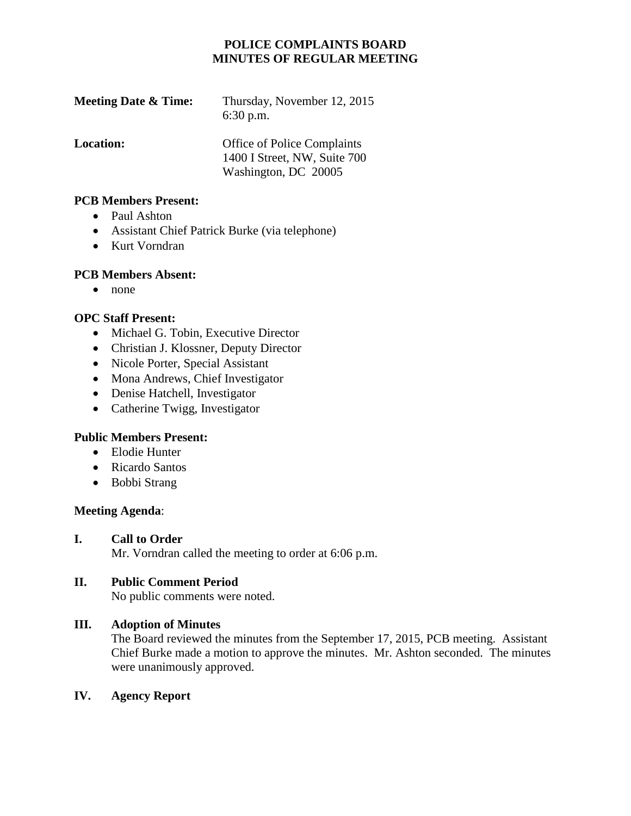# **POLICE COMPLAINTS BOARD MINUTES OF REGULAR MEETING**

| <b>Meeting Date &amp; Time:</b> | Thursday, November 12, 2015<br>$6:30$ p.m.                         |
|---------------------------------|--------------------------------------------------------------------|
| <b>Location:</b>                | <b>Office of Police Complaints</b><br>1400 I Street, NW, Suite 700 |
|                                 | Washington, DC 20005                                               |

#### **PCB Members Present:**

- Paul Ashton
- Assistant Chief Patrick Burke (via telephone)
- Kurt Vorndran

### **PCB Members Absent:**

• none

## **OPC Staff Present:**

- Michael G. Tobin, Executive Director
- Christian J. Klossner, Deputy Director
- Nicole Porter, Special Assistant
- Mona Andrews, Chief Investigator
- Denise Hatchell, Investigator
- Catherine Twigg, Investigator

## **Public Members Present:**

- Elodie Hunter
- Ricardo Santos
- Bobbi Strang

### **Meeting Agenda**:

### **I. Call to Order**

Mr. Vorndran called the meeting to order at 6:06 p.m.

## **II. Public Comment Period**

No public comments were noted.

## **III. Adoption of Minutes**

The Board reviewed the minutes from the September 17, 2015, PCB meeting. Assistant Chief Burke made a motion to approve the minutes. Mr. Ashton seconded. The minutes were unanimously approved.

### **IV. Agency Report**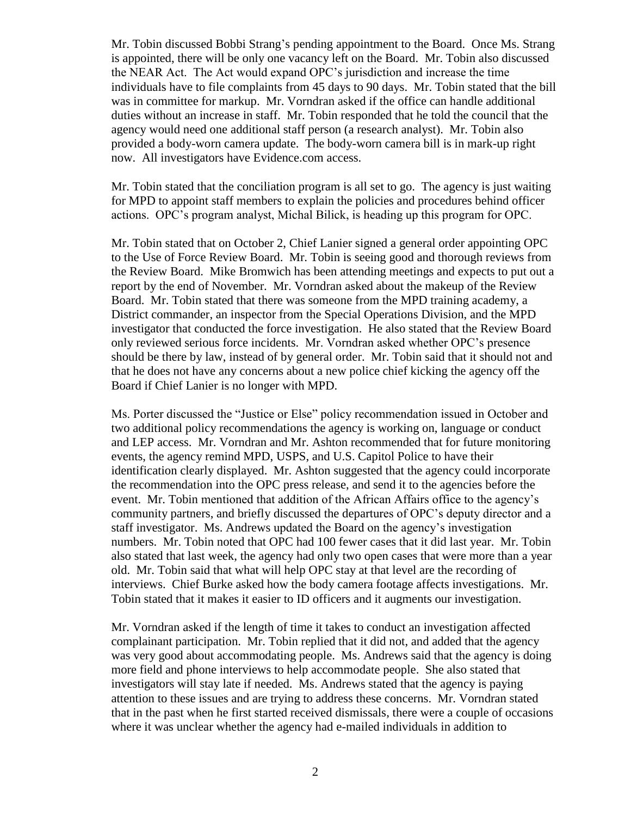Mr. Tobin discussed Bobbi Strang's pending appointment to the Board. Once Ms. Strang is appointed, there will be only one vacancy left on the Board. Mr. Tobin also discussed the NEAR Act. The Act would expand OPC's jurisdiction and increase the time individuals have to file complaints from 45 days to 90 days. Mr. Tobin stated that the bill was in committee for markup. Mr. Vorndran asked if the office can handle additional duties without an increase in staff. Mr. Tobin responded that he told the council that the agency would need one additional staff person (a research analyst). Mr. Tobin also provided a body-worn camera update. The body-worn camera bill is in mark-up right now. All investigators have Evidence.com access.

Mr. Tobin stated that the conciliation program is all set to go. The agency is just waiting for MPD to appoint staff members to explain the policies and procedures behind officer actions. OPC's program analyst, Michal Bilick, is heading up this program for OPC.

Mr. Tobin stated that on October 2, Chief Lanier signed a general order appointing OPC to the Use of Force Review Board. Mr. Tobin is seeing good and thorough reviews from the Review Board. Mike Bromwich has been attending meetings and expects to put out a report by the end of November. Mr. Vorndran asked about the makeup of the Review Board. Mr. Tobin stated that there was someone from the MPD training academy, a District commander, an inspector from the Special Operations Division, and the MPD investigator that conducted the force investigation. He also stated that the Review Board only reviewed serious force incidents. Mr. Vorndran asked whether OPC's presence should be there by law, instead of by general order. Mr. Tobin said that it should not and that he does not have any concerns about a new police chief kicking the agency off the Board if Chief Lanier is no longer with MPD.

Ms. Porter discussed the "Justice or Else" policy recommendation issued in October and two additional policy recommendations the agency is working on, language or conduct and LEP access. Mr. Vorndran and Mr. Ashton recommended that for future monitoring events, the agency remind MPD, USPS, and U.S. Capitol Police to have their identification clearly displayed. Mr. Ashton suggested that the agency could incorporate the recommendation into the OPC press release, and send it to the agencies before the event. Mr. Tobin mentioned that addition of the African Affairs office to the agency's community partners, and briefly discussed the departures of OPC's deputy director and a staff investigator. Ms. Andrews updated the Board on the agency's investigation numbers. Mr. Tobin noted that OPC had 100 fewer cases that it did last year. Mr. Tobin also stated that last week, the agency had only two open cases that were more than a year old. Mr. Tobin said that what will help OPC stay at that level are the recording of interviews. Chief Burke asked how the body camera footage affects investigations. Mr. Tobin stated that it makes it easier to ID officers and it augments our investigation.

Mr. Vorndran asked if the length of time it takes to conduct an investigation affected complainant participation. Mr. Tobin replied that it did not, and added that the agency was very good about accommodating people. Ms. Andrews said that the agency is doing more field and phone interviews to help accommodate people. She also stated that investigators will stay late if needed. Ms. Andrews stated that the agency is paying attention to these issues and are trying to address these concerns. Mr. Vorndran stated that in the past when he first started received dismissals, there were a couple of occasions where it was unclear whether the agency had e-mailed individuals in addition to